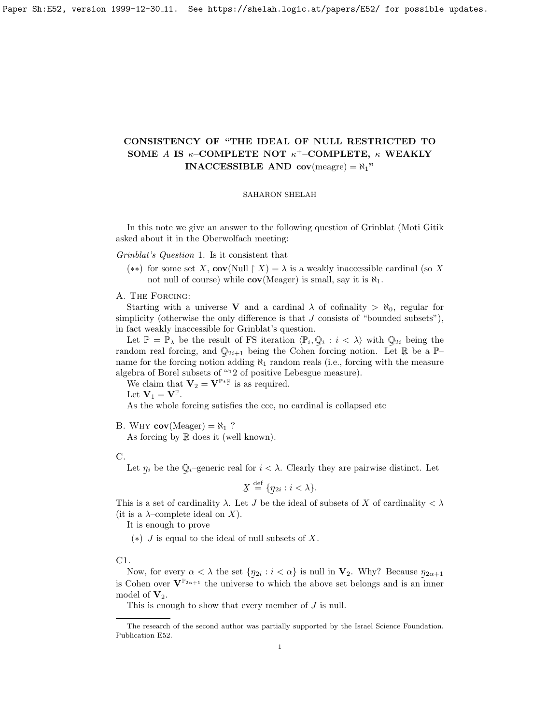Paper Sh: E52, version 1999-12-30\_11. See https://shelah.logic.at/papers/E52/ for possible updates.

## CONSISTENCY OF "THE IDEAL OF NULL RESTRICTED TO SOME A IS  $\kappa$ -COMPLETE NOT  $\kappa^+$ -COMPLETE,  $\kappa$  WEAKLY **INACCESSIBLE AND cov**(meagre) =  $\aleph_1$ "

## SAHARON SHELAH

In this note we give an answer to the following question of Grinblat (Moti Gitik asked about it in the Oberwolfach meeting:

Grinblat's Question 1. Is it consistent that

(\*\*) for some set X, cov(Null  $\upharpoonright X$ ) =  $\lambda$  is a weakly inaccessible cardinal (so X not null of course) while  $cov(Meager)$  is small, say it is  $\aleph_1$ .

A. The Forcing:

Starting with a universe V and a cardinal  $\lambda$  of cofinality  $>\aleph_0$ , regular for simplicity (otherwise the only difference is that  $J$  consists of "bounded subsets"), in fact weakly inaccessible for Grinblat's question.

Let  $\mathbb{P} = \mathbb{P}_{\lambda}$  be the result of FS iteration  $\langle \mathbb{P}_i, \mathbb{Q}_i : i \langle \lambda \rangle$  with  $\mathbb{Q}_{2i}$  being the random real forcing, and  $\mathbb{Q}_{2i+1}$  being the Cohen forcing notion. Let  $\mathbb{R}$  be a  $\mathbb{P}$ name for the forcing notion adding  $\aleph_1$  random reals (i.e., forcing with the measure algebra of Borel subsets of  $\omega_1$ 2 of positive Lebesgue measure).

We claim that  $\mathbf{V}_2 = \mathbf{V}^{\mathbb{P} * \mathbb{R}}$  is as required.

Let  $\mathbf{V}_1 = \mathbf{V}^{\mathbb{P}}$ .

As the whole forcing satisfies the ccc, no cardinal is collapsed etc

B. WHY  $cov(Meager) = \aleph_1$  ?

As forcing by  $\mathbb R$  does it (well known).

C.

Let  $\eta_i$  be the  $\mathbb{Q}_i$ -generic real for  $i < \lambda$ . Clearly they are pairwise distinct. Let  $\tilde{\phantom{a}}$  $\tilde{\phantom{a}}$ 

$$
\underline{X} \stackrel{\text{def}}{=} \{\eta_{2i} : i < \lambda\}.
$$

This is a set of cardinality  $\lambda$ . Let J be the ideal of subsets of X of cardinality  $\lambda$ (it is a  $\lambda$ -complete ideal on X).

It is enough to prove

 $(*)$  J is equal to the ideal of null subsets of X.

C1.

Now, for every  $\alpha < \lambda$  the set  $\{\eta_{2i} : i < \alpha\}$  is null in  $V_2$ . Why? Because  $\eta_{2\alpha+1}$ is Cohen over  $\mathbf{V}^{\mathbb{P}_{2\alpha+1}}$  the universe to which the above set belongs and is an inner model of  $V_2$ .

This is enough to show that every member of J is null.

The research of the second author was partially supported by the Israel Science Foundation. Publication E52.